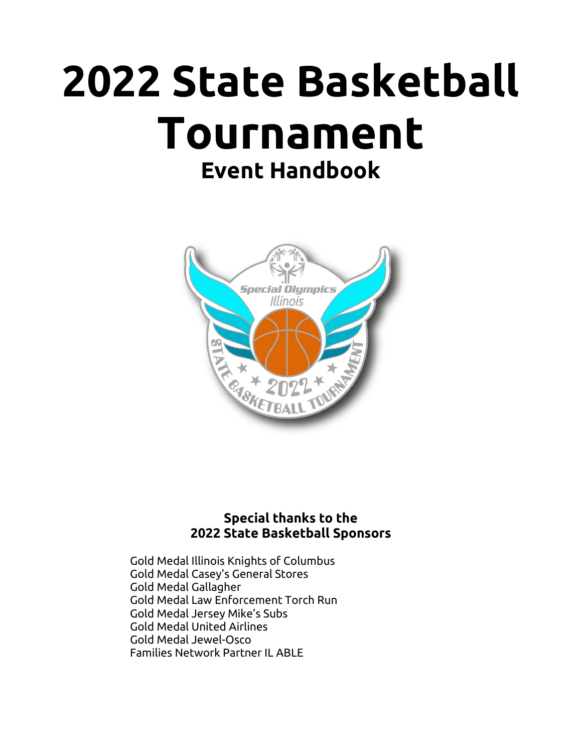# **2022 State Basketball Tournament Event Handbook**



#### **Special thanks to the 2022 State Basketball Sponsors**

Gold Medal Illinois Knights of Columbus Gold Medal Casey's General Stores Gold Medal Gallagher Gold Medal Law Enforcement Torch Run Gold Medal Jersey Mike's Subs Gold Medal United Airlines Gold Medal Jewel-Osco Families Network Partner IL ABLE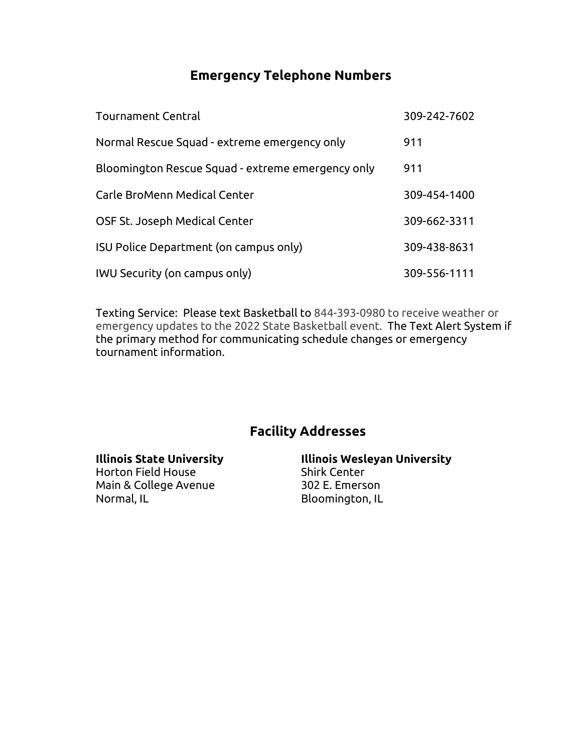#### **Emergency Telephone Numbers**

| <b>Tournament Central</b>                         | 309-242-7602 |
|---------------------------------------------------|--------------|
| Normal Rescue Squad - extreme emergency only      | 911          |
| Bloomington Rescue Squad - extreme emergency only | 911          |
| Carle BroMenn Medical Center                      | 309-454-1400 |
| OSF St. Joseph Medical Center                     | 309-662-3311 |
| ISU Police Department (on campus only)            | 309-438-8631 |
| <b>IWU Security (on campus only)</b>              | 309-556-1111 |

Texting Service: Please text Basketball to 844-393-0980 to receive weather or emergency updates to the 2022 State Basketball event. The Text Alert System if the primary method for communicating schedule changes or emergency tournament information.

# **Facility Addresses**

| <b>Illinois State University</b> | <b>Illinois Wesleyan University</b> |
|----------------------------------|-------------------------------------|
| Horton Field House               | <b>Shirk Center</b>                 |
| Main & College Avenue            | 302 E. Emerson                      |
| Normal, IL                       | Bloomington, IL                     |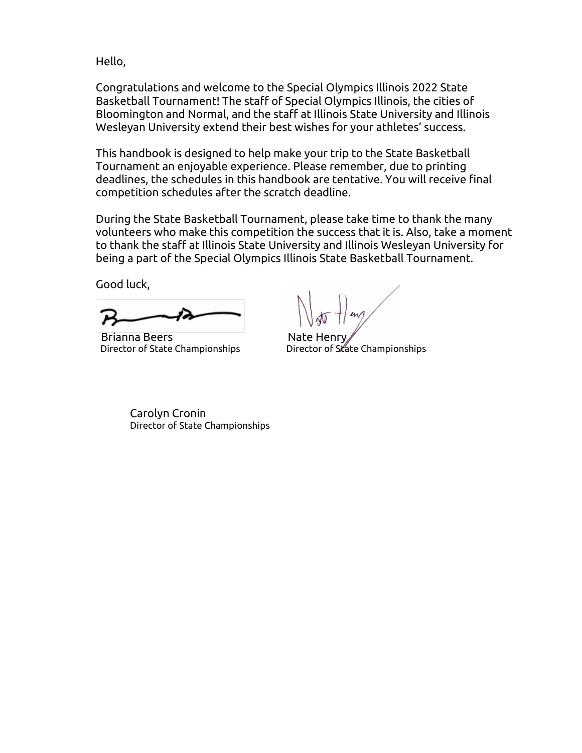Hello,

Congratulations and welcome to the Special Olympics Illinois 2022 State Basketball Tournament! The staff of Special Olympics Illinois, the cities of Bloomington and Normal, and the staff at Illinois State University and Illinois Wesleyan University extend their best wishes for your athletes' success.

This handbook is designed to help make your trip to the State Basketball Tournament an enjoyable experience. Please remember, due to printing deadlines, the schedules in this handbook are tentative. You will receive final competition schedules after the scratch deadline.

During the State Basketball Tournament, please take time to thank the many volunteers who make this competition the success that it is. Also, take a moment to thank the staff at Illinois State University and Illinois Wesleyan University for being a part of the Special Olympics Illinois State Basketball Tournament.

Good luck,

Brianna Beers Nate Henry

Director of State Championships **Director of State Championships** 

Carolyn Cronin Director of State Championships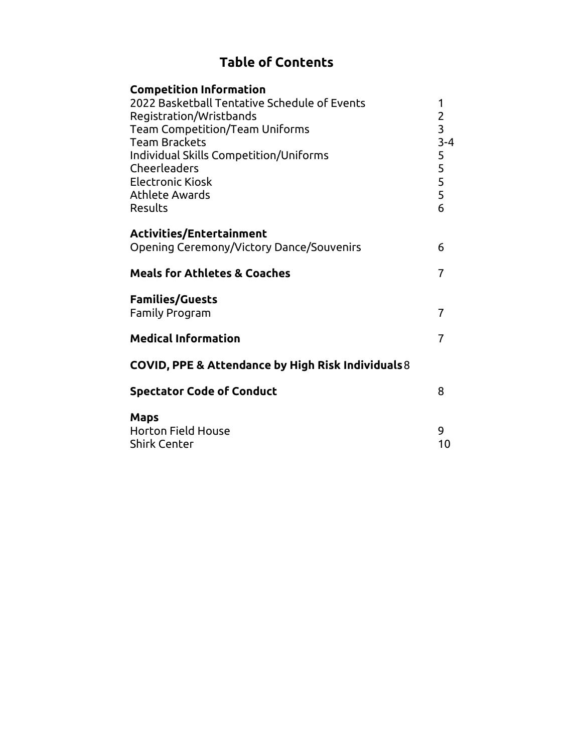# **Table of Contents**

| <b>Competition Information</b><br>2022 Basketball Tentative Schedule of Events<br>Registration/Wristbands<br><b>Team Competition/Team Uniforms</b><br><b>Team Brackets</b><br>Individual Skills Competition/Uniforms<br>Cheerleaders<br><b>Electronic Kiosk</b><br>Athlete Awards<br>Results | 1<br>$\overline{2}$<br>$\overline{3}$<br>$3 - 4$<br>5<br>$\frac{5}{5}$<br>6 |
|----------------------------------------------------------------------------------------------------------------------------------------------------------------------------------------------------------------------------------------------------------------------------------------------|-----------------------------------------------------------------------------|
| Activities/Entertainment<br>Opening Ceremony/Victory Dance/Souvenirs                                                                                                                                                                                                                         | 6                                                                           |
| <b>Meals for Athletes &amp; Coaches</b>                                                                                                                                                                                                                                                      |                                                                             |
| <b>Families/Guests</b><br><b>Family Program</b>                                                                                                                                                                                                                                              | 7                                                                           |
| <b>Medical Information</b>                                                                                                                                                                                                                                                                   | $\overline{7}$                                                              |
| COVID, PPE & Attendance by High Risk Individuals 8                                                                                                                                                                                                                                           |                                                                             |
| <b>Spectator Code of Conduct</b>                                                                                                                                                                                                                                                             | 8                                                                           |
| <b>Maps</b><br><b>Horton Field House</b><br><b>Shirk Center</b>                                                                                                                                                                                                                              | 9<br>10                                                                     |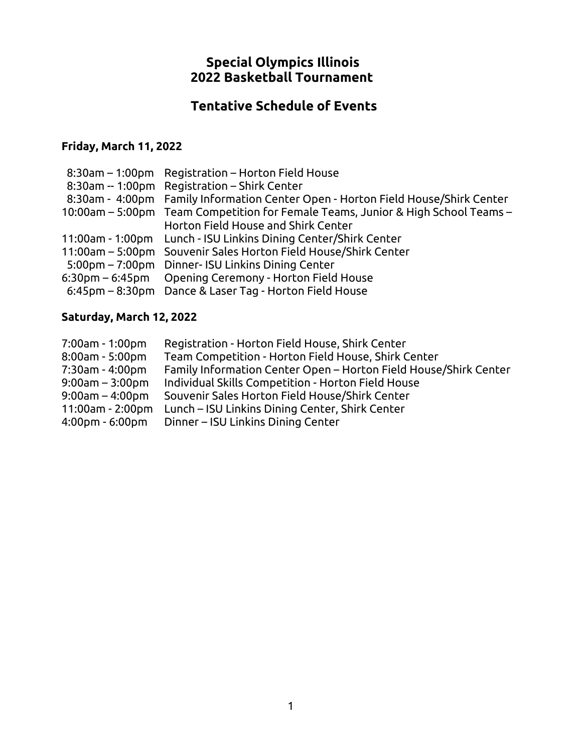#### **Special Olympics Illinois 2022 Basketball Tournament**

# **Tentative Schedule of Events**

#### **Friday, March 11, 2022**

| 8:30am - 1:00pm Registration - Horton Field House                                |
|----------------------------------------------------------------------------------|
| 8:30am -- 1:00pm Registration - Shirk Center                                     |
| 8:30am - 4:00pm Family Information Center Open - Horton Field House/Shirk Center |
| 10:00am – 5:00pm Team Competition for Female Teams, Junior & High School Teams – |
| Horton Field House and Shirk Center                                              |
| 11:00am - 1:00pm Lunch - ISU Linkins Dining Center/Shirk Center                  |
| 11:00am – 5:00pm Souvenir Sales Horton Field House/Shirk Center                  |
| 5:00pm – 7:00pm Dinner- ISU Linkins Dining Center                                |
| 6:30pm – 6:45pm Opening Ceremony - Horton Field House                            |
| 6:45pm – 8:30pm Dance & Laser Tag - Horton Field House                           |
|                                                                                  |

# **Saturday, March 12, 2022**

| 7:00am - 1:00pm                   | Registration - Horton Field House, Shirk Center                  |
|-----------------------------------|------------------------------------------------------------------|
| $8:00$ am - 5:00pm                | Team Competition - Horton Field House, Shirk Center              |
| 7:30am - 4:00pm                   | Family Information Center Open - Horton Field House/Shirk Center |
| $9:00$ am – 3:00pm                | Individual Skills Competition - Horton Field House               |
| $9:00$ am – 4:00pm                | Souvenir Sales Horton Field House/Shirk Center                   |
| 11:00am - 2:00pm                  | Lunch – ISU Linkins Dining Center, Shirk Center                  |
| $4:00 \text{pm} - 6:00 \text{pm}$ | Dinner – ISU Linkins Dining Center                               |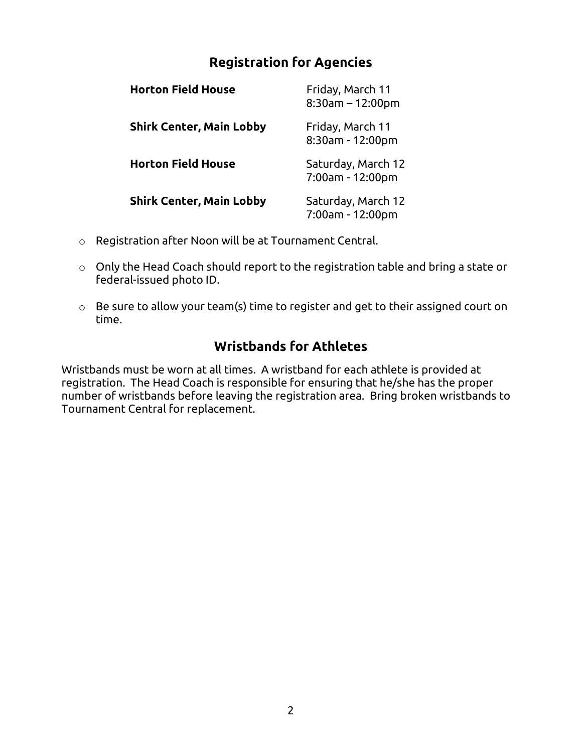## **Registration for Agencies**

| <b>Horton Field House</b>       | Friday, March 11<br>$8:30$ am - 12:00pm |
|---------------------------------|-----------------------------------------|
| <b>Shirk Center, Main Lobby</b> | Friday, March 11<br>8:30am - 12:00pm    |
| <b>Horton Field House</b>       | Saturday, March 12<br>7:00am - 12:00pm  |
| <b>Shirk Center, Main Lobby</b> | Saturday, March 12<br>7:00am - 12:00pm  |

- o Registration after Noon will be at Tournament Central.
- o Only the Head Coach should report to the registration table and bring a state or federal-issued photo ID.
- o Be sure to allow your team(s) time to register and get to their assigned court on time.

#### **Wristbands for Athletes**

Wristbands must be worn at all times. A wristband for each athlete is provided at registration. The Head Coach is responsible for ensuring that he/she has the proper number of wristbands before leaving the registration area. Bring broken wristbands to Tournament Central for replacement.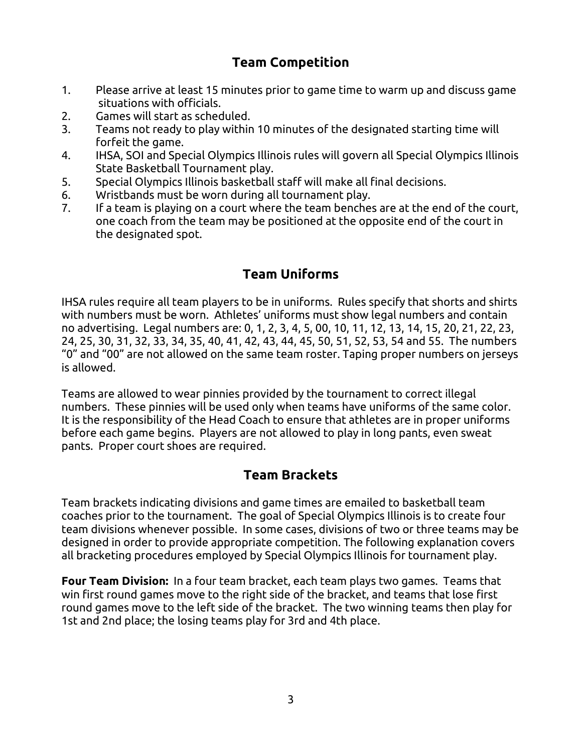## **Team Competition**

- 1. Please arrive at least 15 minutes prior to game time to warm up and discuss game situations with officials.
- 2. Games will start as scheduled.
- 3. Teams not ready to play within 10 minutes of the designated starting time will forfeit the game.
- 4. IHSA, SOI and Special Olympics Illinois rules will govern all Special Olympics Illinois State Basketball Tournament play.
- 5. Special Olympics Illinois basketball staff will make all final decisions.
- 6. Wristbands must be worn during all tournament play.
- 7. If a team is playing on a court where the team benches are at the end of the court, one coach from the team may be positioned at the opposite end of the court in the designated spot.

#### **Team Uniforms**

IHSA rules require all team players to be in uniforms. Rules specify that shorts and shirts with numbers must be worn. Athletes' uniforms must show legal numbers and contain no advertising. Legal numbers are: 0, 1, 2, 3, 4, 5, 00, 10, 11, 12, 13, 14, 15, 20, 21, 22, 23, 24, 25, 30, 31, 32, 33, 34, 35, 40, 41, 42, 43, 44, 45, 50, 51, 52, 53, 54 and 55. The numbers "0" and "00" are not allowed on the same team roster. Taping proper numbers on jerseys is allowed.

Teams are allowed to wear pinnies provided by the tournament to correct illegal numbers. These pinnies will be used only when teams have uniforms of the same color. It is the responsibility of the Head Coach to ensure that athletes are in proper uniforms before each game begins. Players are not allowed to play in long pants, even sweat pants. Proper court shoes are required.

#### **Team Brackets**

Team brackets indicating divisions and game times are emailed to basketball team coaches prior to the tournament. The goal of Special Olympics Illinois is to create four team divisions whenever possible. In some cases, divisions of two or three teams may be designed in order to provide appropriate competition. The following explanation covers all bracketing procedures employed by Special Olympics Illinois for tournament play.

**Four Team Division:** In a four team bracket, each team plays two games. Teams that win first round games move to the right side of the bracket, and teams that lose first round games move to the left side of the bracket. The two winning teams then play for 1st and 2nd place; the losing teams play for 3rd and 4th place.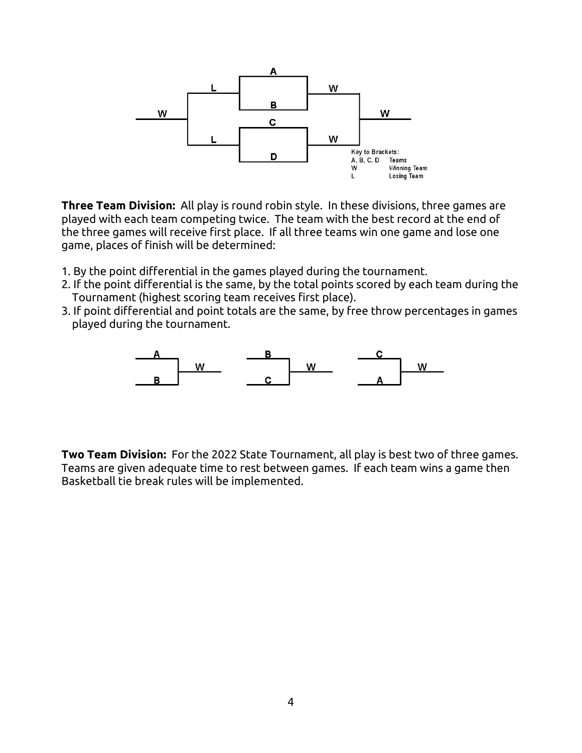

**Three Team Division:** All play is round robin style. In these divisions, three games are played with each team competing twice. The team with the best record at the end of the three games will receive first place. If all three teams win one game and lose one game, places of finish will be determined:

- 1. By the point differential in the games played during the tournament.
- 2. If the point differential is the same, by the total points scored by each team during the Tournament (highest scoring team receives first place).
- 3. If point differential and point totals are the same, by free throw percentages in games played during the tournament.



**Two Team Division:** For the 2022 State Tournament, all play is best two of three games. Teams are given adequate time to rest between games. If each team wins a game then Basketball tie break rules will be implemented.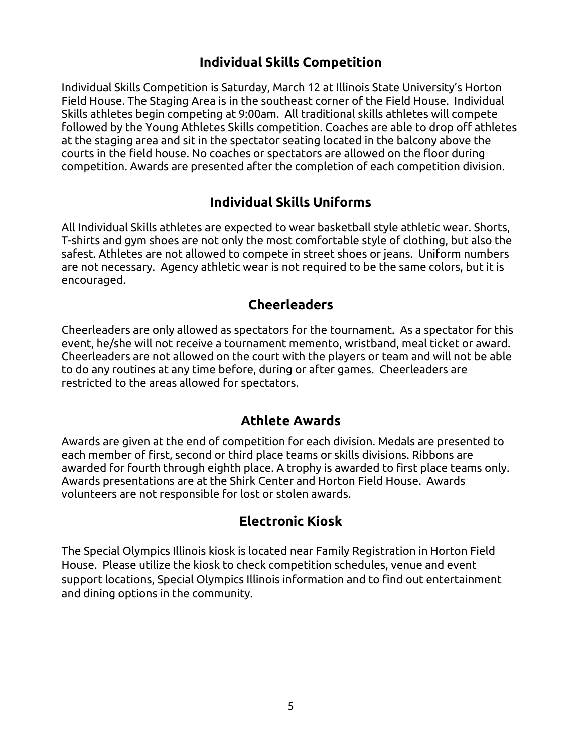## **Individual Skills Competition**

Individual Skills Competition is Saturday, March 12 at Illinois State University's Horton Field House. The Staging Area is in the southeast corner of the Field House. Individual Skills athletes begin competing at 9:00am. All traditional skills athletes will compete followed by the Young Athletes Skills competition. Coaches are able to drop off athletes at the staging area and sit in the spectator seating located in the balcony above the courts in the field house. No coaches or spectators are allowed on the floor during competition. Awards are presented after the completion of each competition division.

#### **Individual Skills Uniforms**

All Individual Skills athletes are expected to wear basketball style athletic wear. Shorts, T-shirts and gym shoes are not only the most comfortable style of clothing, but also the safest. Athletes are not allowed to compete in street shoes or jeans. Uniform numbers are not necessary. Agency athletic wear is not required to be the same colors, but it is encouraged.

#### **Cheerleaders**

Cheerleaders are only allowed as spectators for the tournament. As a spectator for this event, he/she will not receive a tournament memento, wristband, meal ticket or award. Cheerleaders are not allowed on the court with the players or team and will not be able to do any routines at any time before, during or after games. Cheerleaders are restricted to the areas allowed for spectators.

#### **Athlete Awards**

Awards are given at the end of competition for each division. Medals are presented to each member of first, second or third place teams or skills divisions. Ribbons are awarded for fourth through eighth place. A trophy is awarded to first place teams only. Awards presentations are at the Shirk Center and Horton Field House. Awards volunteers are not responsible for lost or stolen awards.

#### **Electronic Kiosk**

The Special Olympics Illinois kiosk is located near Family Registration in Horton Field House. Please utilize the kiosk to check competition schedules, venue and event support locations, Special Olympics Illinois information and to find out entertainment and dining options in the community.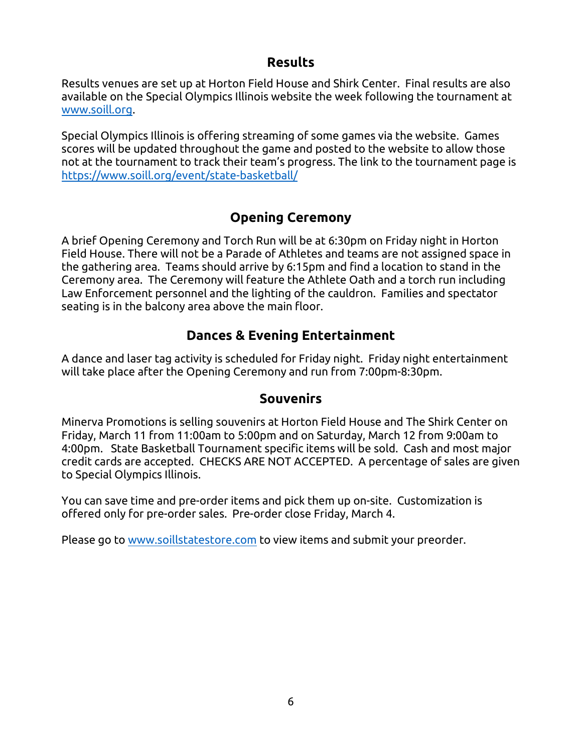#### **Results**

Results venues are set up at Horton Field House and Shirk Center. Final results are also available on the Special Olympics Illinois website the week following the tournament at [www.soill.org.](http://www.soill.org/)

Special Olympics Illinois is offering streaming of some games via the website. Games scores will be updated throughout the game and posted to the website to allow those not at the tournament to track their team's progress. The link to the tournament page is <https://www.soill.org/event/state-basketball/>

#### **Opening Ceremony**

A brief Opening Ceremony and Torch Run will be at 6:30pm on Friday night in Horton Field House. There will not be a Parade of Athletes and teams are not assigned space in the gathering area. Teams should arrive by 6:15pm and find a location to stand in the Ceremony area. The Ceremony will feature the Athlete Oath and a torch run including Law Enforcement personnel and the lighting of the cauldron. Families and spectator seating is in the balcony area above the main floor.

#### **Dances & Evening Entertainment**

A dance and laser tag activity is scheduled for Friday night. Friday night entertainment will take place after the Opening Ceremony and run from 7:00pm-8:30pm.

#### **Souvenirs**

Minerva Promotions is selling souvenirs at Horton Field House and The Shirk Center on Friday, March 11 from 11:00am to 5:00pm and on Saturday, March 12 from 9:00am to 4:00pm. State Basketball Tournament specific items will be sold. Cash and most major credit cards are accepted. CHECKS ARE NOT ACCEPTED. A percentage of sales are given to Special Olympics Illinois.

You can save time and pre-order items and pick them up on-site. Customization is offered only for pre-order sales. Pre-order close Friday, March 4.

Please go to [www.soillstatestore.com](http://www.soillstatestore.com/) to view items and submit your preorder.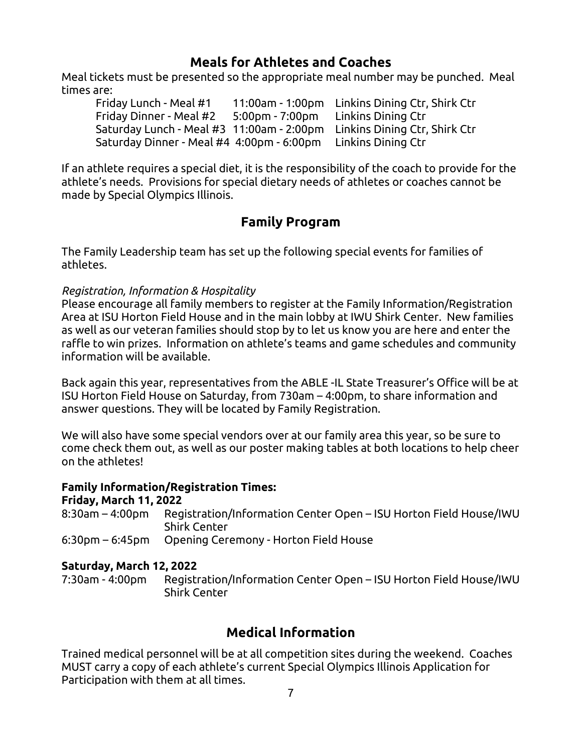#### **Meals for Athletes and Coaches**

Meal tickets must be presented so the appropriate meal number may be punched. Meal times are:

Friday Lunch - Meal #1 11:00am - 1:00pm Linkins Dining Ctr, Shirk Ctr Friday Dinner - Meal #2 5:00pm - 7:00pm Linkins Dining Ctr Saturday Lunch - Meal #3 11:00am - 2:00pm Linkins Dining Ctr, Shirk Ctr Saturday Dinner - Meal #4 4:00pm - 6:00pm Linkins Dining Ctr

If an athlete requires a special diet, it is the responsibility of the coach to provide for the athlete's needs. Provisions for special dietary needs of athletes or coaches cannot be made by Special Olympics Illinois.

#### **Family Program**

The Family Leadership team has set up the following special events for families of athletes.

#### *Registration, Information & Hospitality*

Please encourage all family members to register at the Family Information/Registration Area at ISU Horton Field House and in the main lobby at IWU Shirk Center. New families as well as our veteran families should stop by to let us know you are here and enter the raffle to win prizes. Information on athlete's teams and game schedules and community information will be available.

Back again this year, representatives from the ABLE -IL State Treasurer's Office will be at ISU Horton Field House on Saturday, from 730am – 4:00pm, to share information and answer questions. They will be located by Family Registration.

We will also have some special vendors over at our family area this year, so be sure to come check them out, as well as our poster making tables at both locations to help cheer on the athletes!

#### **Family Information/Registration Times:**

#### **Friday, March 11, 2022**

| 8:30am – 4:00pm Registration/Information Center Open – ISU Horton Field House/IWU |
|-----------------------------------------------------------------------------------|
| <b>Shirk Center</b>                                                               |
| 6:30pm – 6:45pm Opening Ceremony - Horton Field House                             |

#### **Saturday, March 12, 2022**

7:30am - 4:00pm Registration/Information Center Open – ISU Horton Field House/IWU Shirk Center

#### **Medical Information**

Trained medical personnel will be at all competition sites during the weekend. Coaches MUST carry a copy of each athlete's current Special Olympics Illinois Application for Participation with them at all times.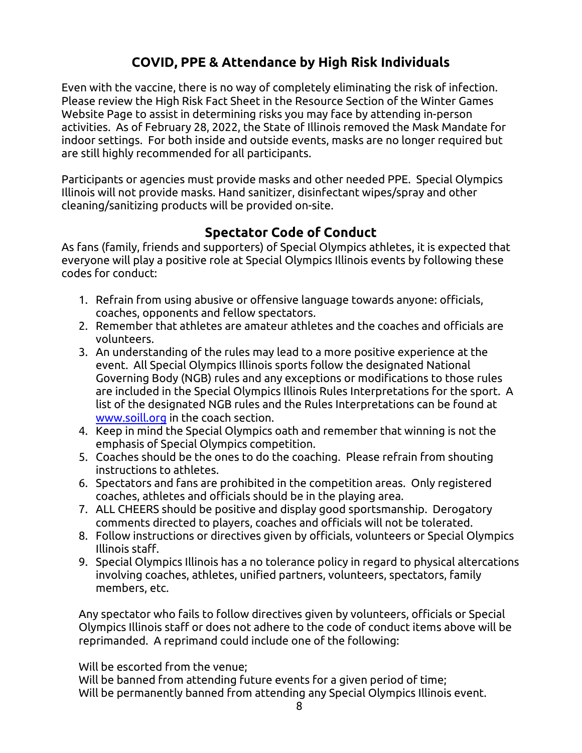# **COVID, PPE & Attendance by High Risk Individuals**

Even with the vaccine, there is no way of completely eliminating the risk of infection. Please review the High Risk Fact Sheet in the Resource Section of the Winter Games Website Page to assist in determining risks you may face by attending in-person activities. As of February 28, 2022, the State of Illinois removed the Mask Mandate for indoor settings. For both inside and outside events, masks are no longer required but are still highly recommended for all participants.

Participants or agencies must provide masks and other needed PPE. Special Olympics Illinois will not provide masks. Hand sanitizer, disinfectant wipes/spray and other cleaning/sanitizing products will be provided on-site.

# **Spectator Code of Conduct**

As fans (family, friends and supporters) of Special Olympics athletes, it is expected that everyone will play a positive role at Special Olympics Illinois events by following these codes for conduct:

- 1. Refrain from using abusive or offensive language towards anyone: officials, coaches, opponents and fellow spectators.
- 2. Remember that athletes are amateur athletes and the coaches and officials are volunteers.
- 3. An understanding of the rules may lead to a more positive experience at the event. All Special Olympics Illinois sports follow the designated National Governing Body (NGB) rules and any exceptions or modifications to those rules are included in the Special Olympics Illinois Rules Interpretations for the sport. A list of the designated NGB rules and the Rules Interpretations can be found at [www.soill.org](http://www.soill.org/) in the coach section.
- 4. Keep in mind the Special Olympics oath and remember that winning is not the emphasis of Special Olympics competition.
- 5. Coaches should be the ones to do the coaching. Please refrain from shouting instructions to athletes.
- 6. Spectators and fans are prohibited in the competition areas. Only registered coaches, athletes and officials should be in the playing area.
- 7. ALL CHEERS should be positive and display good sportsmanship. Derogatory comments directed to players, coaches and officials will not be tolerated.
- 8. Follow instructions or directives given by officials, volunteers or Special Olympics Illinois staff.
- 9. Special Olympics Illinois has a no tolerance policy in regard to physical altercations involving coaches, athletes, unified partners, volunteers, spectators, family members, etc.

Any spectator who fails to follow directives given by volunteers, officials or Special Olympics Illinois staff or does not adhere to the code of conduct items above will be reprimanded. A reprimand could include one of the following:

Will be escorted from the venue;

Will be banned from attending future events for a given period of time; Will be permanently banned from attending any Special Olympics Illinois event.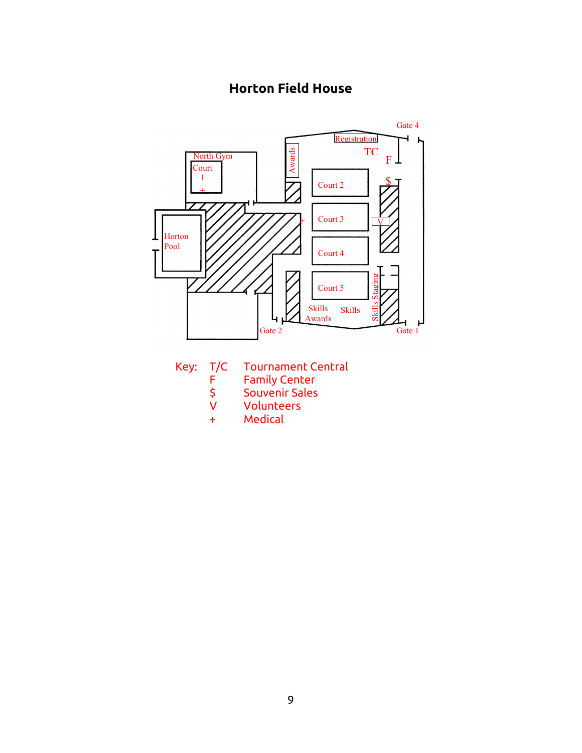# **Horton Field House**



- Key: T/C Tournament Central<br>F Family Center
	-
	- F Family Center<br>\$ Souvenir Sales Souvenir Sales
	- V Volunteers
	- + Medical